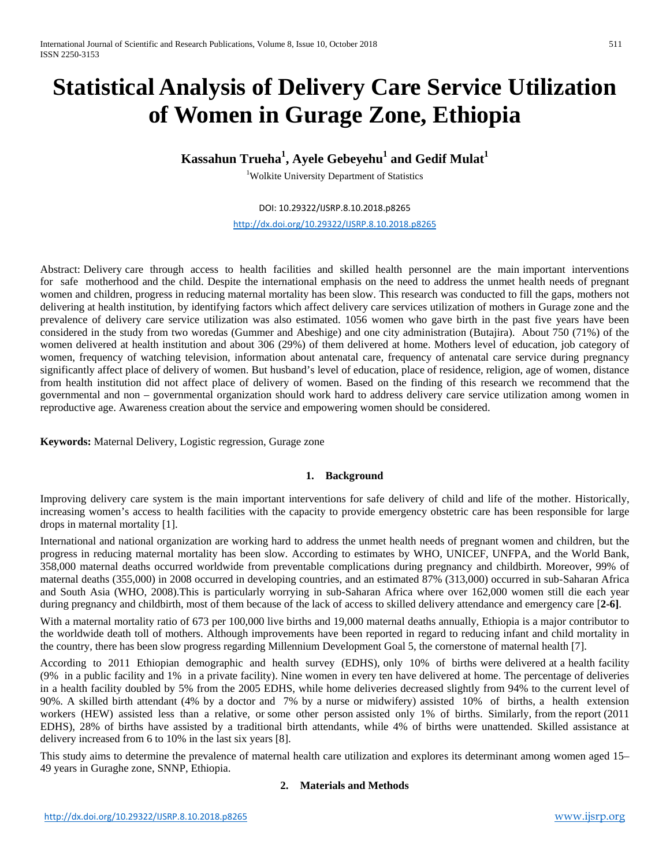# **Statistical Analysis of Delivery Care Service Utilization of Women in Gurage Zone, Ethiopia**

# $\boldsymbol{\mathrm{K}}$ assahun Trueha $^1$ , Ayele Gebeyehu $^1$  and Gedif Mulat $^1$

<sup>1</sup>Wolkite University Department of Statistics

DOI: 10.29322/IJSRP.8.10.2018.p8265

<http://dx.doi.org/10.29322/IJSRP.8.10.2018.p8265>

Abstract: Delivery care through access to health facilities and skilled health personnel are the main important interventions for safe motherhood and the child. Despite the international emphasis on the need to address the unmet health needs of pregnant women and children, progress in reducing maternal mortality has been slow. This research was conducted to fill the gaps, mothers not delivering at health institution, by identifying factors which affect delivery care services utilization of mothers in Gurage zone and the prevalence of delivery care service utilization was also estimated. 1056 women who gave birth in the past five years have been considered in the study from two woredas (Gummer and Abeshige) and one city administration (Butajira). About 750 (71%) of the women delivered at health institution and about 306 (29%) of them delivered at home. Mothers level of education, job category of women, frequency of watching television, information about antenatal care, frequency of antenatal care service during pregnancy significantly affect place of delivery of women. But husband's level of education, place of residence, religion, age of women, distance from health institution did not affect place of delivery of women. Based on the finding of this research we recommend that the governmental and non – governmental organization should work hard to address delivery care service utilization among women in reproductive age. Awareness creation about the service and empowering women should be considered.

**Keywords:** Maternal Delivery, Logistic regression, Gurage zone

### **1. Background**

Improving delivery care system is the main important interventions for safe delivery of child and life of the mother. Historically, increasing women's access to health facilities with the capacity to provide emergency obstetric care has been responsible for large drops in maternal mortality [1].

International and national organization are working hard to address the unmet health needs of pregnant women and children, but the progress in reducing maternal mortality has been slow. According to estimates by WHO, UNICEF, UNFPA, and the World Bank, 358,000 maternal deaths occurred worldwide from preventable complications during pregnancy and childbirth. Moreover, 99% of maternal deaths (355,000) in 2008 occurred in developing countries, and an estimated 87% (313,000) occurred in sub-Saharan Africa and South Asia (WHO, 2008).This is particularly worrying in sub-Saharan Africa where over 162,000 women still die each year during pregnancy and childbirth, most of them because of the lack of access to skilled delivery attendance and emergency care [**[2](http://www.ncbi.nlm.nih.gov/pmc/articles/PMC3658893/#B1)[-6\]](http://www.ncbi.nlm.nih.gov/pmc/articles/PMC3658893/#B5)**.

With a maternal mortality ratio of 673 per 100,000 live births and 19,000 maternal deaths annually, Ethiopia is a major contributor to the worldwide death toll of mothers. Although improvements have been reported in regard to reducing infant and child mortality in the country, there has been slow progress regarding Millennium Development Goal 5, the cornerstone of maternal health [\[7\]](http://www.ncbi.nlm.nih.gov/pmc/articles/PMC3658893/#B16).

According to 2011 Ethiopian demographic and health survey (EDHS), only 10% of births were delivered at a health facility (9% in a public facility and 1% in a private facility). Nine women in every ten have delivered at home. The percentage of deliveries in a health facility doubled by 5% from the 2005 EDHS, while home deliveries decreased slightly from 94% to the current level of 90%. A skilled birth attendant (4% by a doctor and 7% by a nurse or midwifery) assisted 10% of births, a health extension workers (HEW) assisted less than a relative, or some other person assisted only 1% of births. Similarly, from the report (2011 EDHS), 28% of births have assisted by a traditional birth attendants, while 4% of births were unattended. Skilled assistance at delivery increased from 6 to 10% in the last six years [8].

This study aims to determine the prevalence of maternal health care utilization and explores its determinant among women aged 15– 49 years in Guraghe zone, SNNP, Ethiopia.

### **2. Materials and Methods**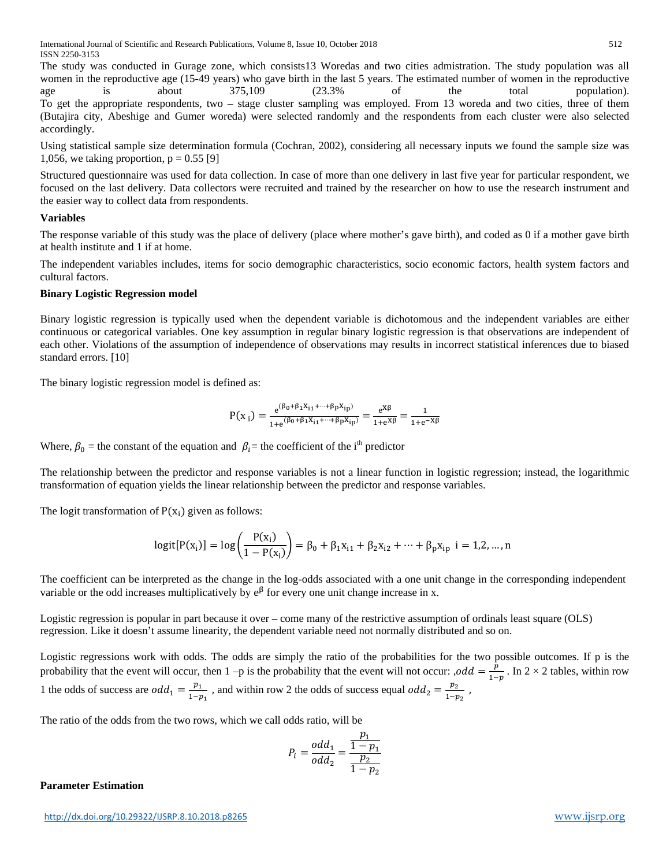The study was conducted in Gurage zone, which consists13 Woredas and two cities admistration. The study population was all women in the reproductive age (15-49 years) who gave birth in the last 5 years. The estimated number of women in the reproductive age is about 375,109 (23.3% of the total population). To get the appropriate respondents, two – stage cluster sampling was employed. From 13 woreda and two cities, three of them (Butajira city, Abeshige and Gumer woreda) were selected randomly and the respondents from each cluster were also selected accordingly.

Using statistical sample size determination formula (Cochran, 2002), considering all necessary inputs we found the sample size was 1,056, we taking proportion,  $p = 0.55$  [9]

Structured questionnaire was used for data collection. In case of more than one delivery in last five year for particular respondent, we focused on the last delivery. Data collectors were recruited and trained by the researcher on how to use the research instrument and the easier way to collect data from respondents.

#### **Variables**

The response variable of this study was the place of delivery (place where mother's gave birth), and coded as 0 if a mother gave birth at health institute and 1 if at home.

The independent variables includes, items for socio demographic characteristics, socio economic factors, health system factors and cultural factors.

#### **Binary Logistic Regression model**

Binary logistic regression is typically used when the dependent variable is dichotomous and the independent variables are either continuous or categorical variables. One key assumption in regular binary logistic regression is that observations are independent of each other. Violations of the assumption of independence of observations may results in incorrect statistical inferences due to biased standard errors. [10]

The binary logistic regression model is defined as:

$$
P(x_i) = \frac{e^{(\beta_0 + \beta_1 X_{i1} + \dots + \beta_p X_{ip})}}{1 + e^{(\beta_0 + \beta_1 X_{i1} + \dots + \beta_p X_{ip})}} = \frac{e^{X\beta}}{1 + e^{X\beta}} = \frac{1}{1 + e^{-X\beta}}
$$

Where,  $\beta_0$  = the constant of the equation and  $\beta_i$  = the coefficient of the i<sup>th</sup> predictor

The relationship between the predictor and response variables is not a linear function in logistic regression; instead, the logarithmic transformation of equation yields the linear relationship between the predictor and response variables.

The logit transformation of  $P(x_i)$  given as follows:

$$
logit[P(x_i)] = log\left(\frac{P(x_i)}{1 - P(x_i)}\right) = \beta_0 + \beta_1 x_{i1} + \beta_2 x_{i2} + \dots + \beta_p x_{ip} \quad i = 1, 2, \dots, n
$$

The coefficient can be interpreted as the change in the log-odds associated with a one unit change in the corresponding independent variable or the odd increases multiplicatively by  $e^{\beta}$  for every one unit change increase in x.

Logistic regression is popular in part because it over – come many of the restrictive assumption of ordinals least square (OLS) regression. Like it doesn't assume linearity, the dependent variable need not normally distributed and so on.

Logistic regressions work with odds. The odds are simply the ratio of the probabilities for the two possible outcomes. If p is the probability that the event will occur, then 1 –p is the probability that the event will not occur: ,odd =  $\frac{p}{1-p}$ . In 2 × 2 tables, within row 1 the odds of success are  $odd_1 = \frac{p_1}{1-p_1}$ , and within row 2 the odds of success equal  $odd_2 = \frac{p_2}{1-p_2}$ ,

The ratio of the odds from the two rows, which we call odds ratio, will be

$$
P_i = \frac{odd_1}{odd_2} = \frac{\frac{p_1}{1 - p_1}}{\frac{p_2}{1 - p_2}}
$$

#### **Parameter Estimation**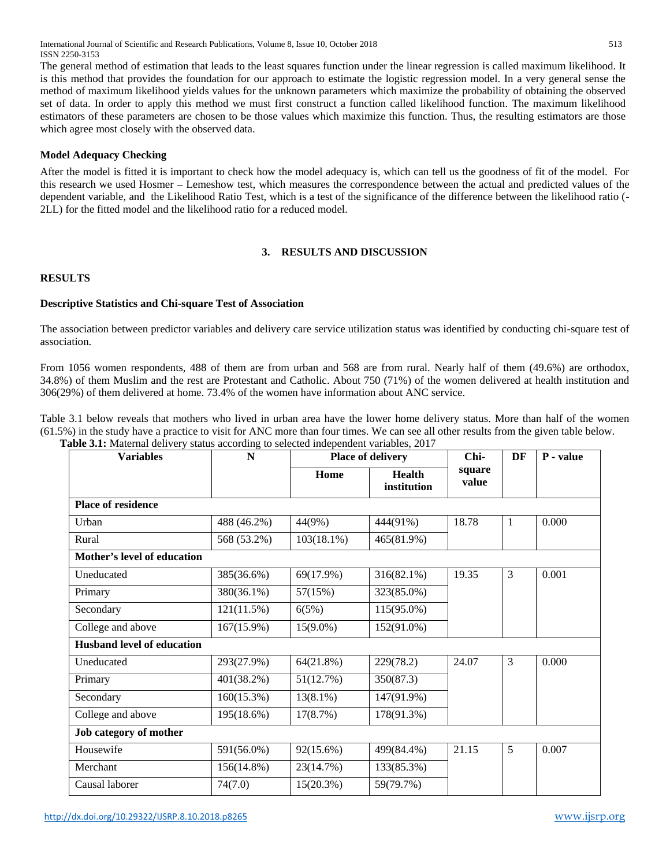International Journal of Scientific and Research Publications, Volume 8, Issue 10, October 2018 513 ISSN 2250-3153

The general method of estimation that leads to the least squares function under the linear regression is called maximum likelihood. It is this method that provides the foundation for our approach to estimate the logistic regression model. In a very general sense the method of maximum likelihood yields values for the unknown parameters which maximize the probability of obtaining the observed set of data. In order to apply this method we must first construct a function called likelihood function. The maximum likelihood estimators of these parameters are chosen to be those values which maximize this function. Thus, the resulting estimators are those which agree most closely with the observed data.

#### **Model Adequacy Checking**

After the model is fitted it is important to check how the model adequacy is, which can tell us the goodness of fit of the model. For this research we used Hosmer – Lemeshow test, which measures the correspondence between the actual and predicted values of the dependent variable, and the Likelihood Ratio Test, which is a test of the significance of the difference between the likelihood ratio (- 2LL) for the fitted model and the likelihood ratio for a reduced model.

### **3. RESULTS AND DISCUSSION**

## **RESULTS**

#### **Descriptive Statistics and Chi-square Test of Association**

The association between predictor variables and delivery care service utilization status was identified by conducting chi-square test of association.

From 1056 women respondents, 488 of them are from urban and 568 are from rural. Nearly half of them (49.6%) are orthodox, 34.8%) of them Muslim and the rest are Protestant and Catholic. About 750 (71%) of the women delivered at health institution and 306(29%) of them delivered at home. 73.4% of the women have information about ANC service.

Table 3.1 below reveals that mothers who lived in urban area have the lower home delivery status. More than half of the women (61.5%) in the study have a practice to visit for ANC more than four times. We can see all other results from the given table below. **Table 3.1:** Maternal delivery status according to selected independent variables, 2017

| <b>Variables</b>                  | $\mathbf N$ | <b>Place of delivery</b> |                              | Chi-            | DF           | P - value |
|-----------------------------------|-------------|--------------------------|------------------------------|-----------------|--------------|-----------|
|                                   |             | Home                     | <b>Health</b><br>institution | square<br>value |              |           |
| <b>Place of residence</b>         |             |                          |                              |                 |              |           |
| Urban                             | 488 (46.2%) | 44(9%)                   | 444(91%)                     | 18.78           | $\mathbf{1}$ | 0.000     |
| Rural                             | 568 (53.2%) | $103(18.1\%)$            | 465(81.9%)                   |                 |              |           |
| Mother's level of education       |             |                          |                              |                 |              |           |
| Uneducated                        | 385(36.6%)  | 69(17.9%)                | 316(82.1%)                   | 19.35           | 3            | 0.001     |
| Primary                           | 380(36.1%)  | 57(15%)                  | 323(85.0%)                   |                 |              |           |
| Secondary                         | 121(11.5%)  | 6(5%)                    | 115(95.0%)                   |                 |              |           |
| College and above                 | 167(15.9%)  | $15(9.0\%)$              | 152(91.0%)                   |                 |              |           |
| <b>Husband level of education</b> |             |                          |                              |                 |              |           |
| Uneducated                        | 293(27.9%)  | 64(21.8%)                | 229(78.2)                    | 24.07           | 3            | 0.000     |
| Primary                           | 401(38.2%)  | 51(12.7%)                | 350(87.3)                    |                 |              |           |
| Secondary                         | 160(15.3%)  | $13(8.1\%)$              | 147(91.9%)                   |                 |              |           |
| College and above                 | 195(18.6%)  | 17(8.7%)                 | 178(91.3%)                   |                 |              |           |
| <b>Job category of mother</b>     |             |                          |                              |                 |              |           |
| Housewife                         | 591(56.0%)  | 92(15.6%)                | 499(84.4%)                   | 21.15           | 5            | 0.007     |
| Merchant                          | 156(14.8%)  | 23(14.7%)                | 133(85.3%)                   |                 |              |           |
| Causal laborer                    | 74(7.0)     | 15(20.3%)                | 59(79.7%)                    |                 |              |           |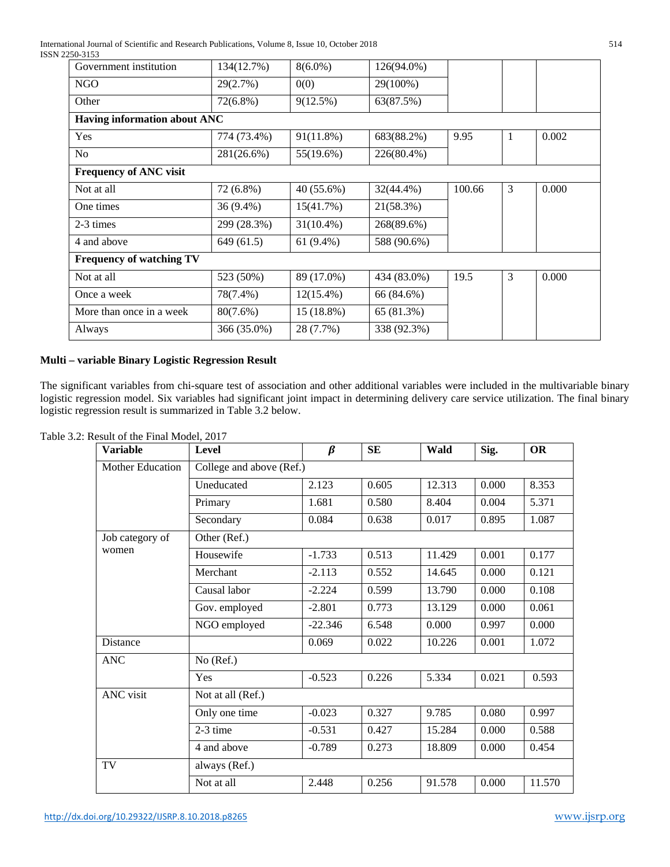International Journal of Scientific and Research Publications, Volume 8, Issue 10, October 2018 514 ISSN 2250-3153

| - - - - - - - -                 |             |              |             |        |   |       |
|---------------------------------|-------------|--------------|-------------|--------|---|-------|
| Government institution          | 134(12.7%)  | $8(6.0\%)$   | 126(94.0%)  |        |   |       |
| NGO                             | 29(2.7%)    | 0(0)         | 29(100%)    |        |   |       |
| Other                           | 72(6.8%)    | 9(12.5%)     | 63(87.5%)   |        |   |       |
| Having information about ANC    |             |              |             |        |   |       |
| Yes                             | 774 (73.4%) | 91(11.8%)    | 683(88.2%)  | 9.95   | 1 | 0.002 |
| N <sub>o</sub>                  | 281(26.6%)  | 55(19.6%)    | 226(80.4%)  |        |   |       |
| <b>Frequency of ANC visit</b>   |             |              |             |        |   |       |
| Not at all                      | 72 (6.8%)   | 40 (55.6%)   | 32(44.4%)   | 100.66 | 3 | 0.000 |
| One times                       | 36 (9.4%)   | 15(41.7%)    | 21(58.3%)   |        |   |       |
| 2-3 times                       | 299 (28.3%) | $31(10.4\%)$ | 268(89.6%)  |        |   |       |
| 4 and above                     | 649 (61.5)  | 61 $(9.4\%)$ | 588 (90.6%) |        |   |       |
| <b>Frequency of watching TV</b> |             |              |             |        |   |       |
| Not at all                      | 523 (50%)   | 89 (17.0%)   | 434 (83.0%) | 19.5   | 3 | 0.000 |
| Once a week                     | 78(7.4%)    | $12(15.4\%)$ | 66 (84.6%)  |        |   |       |
| More than once in a week        | $80(7.6\%)$ | 15 (18.8%)   | 65 (81.3%)  |        |   |       |
| Always                          | 366 (35.0%) | 28 (7.7%)    | 338 (92.3%) |        |   |       |

# **Multi – variable Binary Logistic Regression Result**

The significant variables from chi-square test of association and other additional variables were included in the multivariable binary logistic regression model. Six variables had significant joint impact in determining delivery care service utilization. The final binary logistic regression result is summarized in Table 3.2 below.

| <b>Variable</b>  | <b>Level</b>             | $\beta$   | <b>SE</b> | Wald   | Sig.  | <b>OR</b> |  |
|------------------|--------------------------|-----------|-----------|--------|-------|-----------|--|
| Mother Education | College and above (Ref.) |           |           |        |       |           |  |
|                  | Uneducated               | 2.123     | 0.605     | 12.313 | 0.000 | 8.353     |  |
|                  | Primary                  | 1.681     | 0.580     | 8.404  | 0.004 | 5.371     |  |
|                  | Secondary                | 0.084     | 0.638     | 0.017  | 0.895 | 1.087     |  |
| Job category of  | Other (Ref.)             |           |           |        |       |           |  |
| women            | Housewife                | $-1.733$  | 0.513     | 11.429 | 0.001 | 0.177     |  |
|                  | Merchant                 | $-2.113$  | 0.552     | 14.645 | 0.000 | 0.121     |  |
|                  | Causal labor             | $-2.224$  | 0.599     | 13.790 | 0.000 | 0.108     |  |
|                  | Gov. employed            | $-2.801$  | 0.773     | 13.129 | 0.000 | 0.061     |  |
|                  | NGO employed             | $-22.346$ | 6.548     | 0.000  | 0.997 | 0.000     |  |
| Distance         |                          | 0.069     | 0.022     | 10.226 | 0.001 | 1.072     |  |
| <b>ANC</b>       | No (Ref.)                |           |           |        |       |           |  |
|                  | Yes                      | $-0.523$  | 0.226     | 5.334  | 0.021 | 0.593     |  |
| <b>ANC</b> visit | Not at all (Ref.)        |           |           |        |       |           |  |
|                  | Only one time            | $-0.023$  | 0.327     | 9.785  | 0.080 | 0.997     |  |
|                  | 2-3 time                 | $-0.531$  | 0.427     | 15.284 | 0.000 | 0.588     |  |
|                  | 4 and above              | $-0.789$  | 0.273     | 18.809 | 0.000 | 0.454     |  |
| TV               | always (Ref.)            |           |           |        |       |           |  |
|                  | Not at all               | 2.448     | 0.256     | 91.578 | 0.000 | 11.570    |  |

Table 3.2: Result of the Final Model, 2017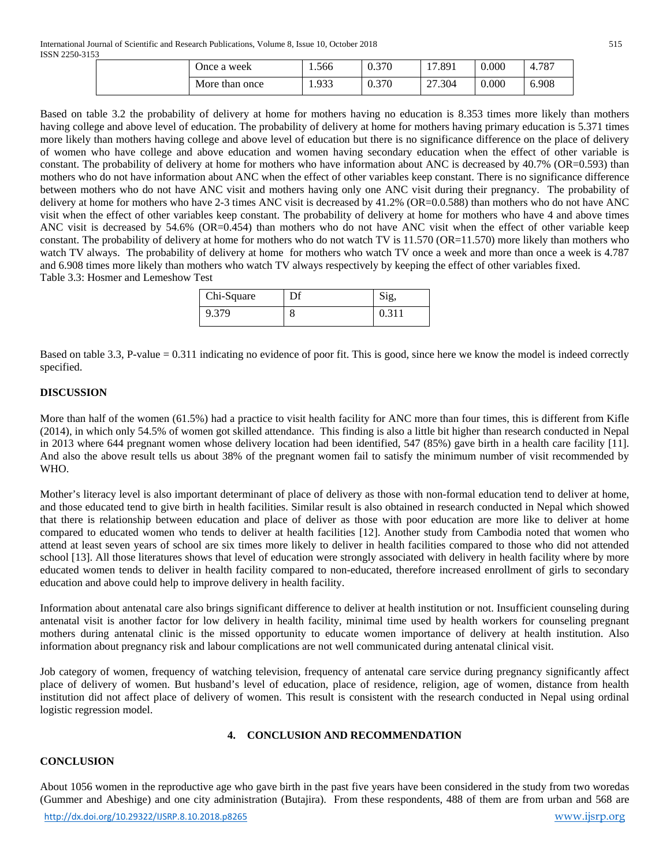| Once a week    | . . 566 | 0.370 | !7.891 | 0.000 | 4.787 |
|----------------|---------|-------|--------|-------|-------|
| More than once | 1.933   | 0.370 | 27.304 | 0.000 | 6.908 |

Based on table 3.2 the probability of delivery at home for mothers having no education is 8.353 times more likely than mothers having college and above level of education. The probability of delivery at home for mothers having primary education is 5.371 times more likely than mothers having college and above level of education but there is no significance difference on the place of delivery of women who have college and above education and women having secondary education when the effect of other variable is constant. The probability of delivery at home for mothers who have information about ANC is decreased by 40.7% (OR=0.593) than mothers who do not have information about ANC when the effect of other variables keep constant. There is no significance difference between mothers who do not have ANC visit and mothers having only one ANC visit during their pregnancy. The probability of delivery at home for mothers who have 2-3 times ANC visit is decreased by 41.2% (OR=0.0.588) than mothers who do not have ANC visit when the effect of other variables keep constant. The probability of delivery at home for mothers who have 4 and above times ANC visit is decreased by 54.6% (OR=0.454) than mothers who do not have ANC visit when the effect of other variable keep constant. The probability of delivery at home for mothers who do not watch TV is 11.570 (OR=11.570) more likely than mothers who watch TV always. The probability of delivery at home for mothers who watch TV once a week and more than once a week is 4.787 and 6.908 times more likely than mothers who watch TV always respectively by keeping the effect of other variables fixed. Table 3.3: Hosmer and Lemeshow Test

| Chi-Square |  |
|------------|--|
| 9.379      |  |

Based on table 3.3, P-value = 0.311 indicating no evidence of poor fit. This is good, since here we know the model is indeed correctly specified.

### **DISCUSSION**

More than half of the women (61.5%) had a practice to visit health facility for ANC more than four times, this is different from Kifle (2014), in which only 54.5% of women got skilled attendance. This finding is also a little bit higher than research conducted in Nepal in 2013 where 644 pregnant women whose delivery location had been identified, 547 (85%) gave birth in a health care facility [11]. And also the above result tells us about 38% of the pregnant women fail to satisfy the minimum number of visit recommended by WHO.

Mother's literacy level is also important determinant of place of delivery as those with non-formal education tend to deliver at home, and those educated tend to give birth in health facilities. Similar result is also obtained in research conducted in Nepal which showed that there is relationship between education and place of deliver as those with poor education are more like to deliver at home compared to educated women who tends to deliver at health facilities [12]. Another study from Cambodia noted that women who attend at least seven years of school are six times more likely to deliver in health facilities compared to those who did not attended school [13]. All those literatures shows that level of education were strongly associated with delivery in health facility where by more educated women tends to deliver in health facility compared to non-educated, therefore increased enrollment of girls to secondary education and above could help to improve delivery in health facility.

Information about antenatal care also brings significant difference to deliver at health institution or not. Insufficient counseling during antenatal visit is another factor for low delivery in health facility, minimal time used by health workers for counseling pregnant mothers during antenatal clinic is the missed opportunity to educate women importance of delivery at health institution. Also information about pregnancy risk and labour complications are not well communicated during antenatal clinical visit.

Job category of women, frequency of watching television, frequency of antenatal care service during pregnancy significantly affect place of delivery of women. But husband's level of education, place of residence, religion, age of women, distance from health institution did not affect place of delivery of women. This result is consistent with the research conducted in Nepal using ordinal logistic regression model.

### **4. CONCLUSION AND RECOMMENDATION**

### **CONCLUSION**

About 1056 women in the reproductive age who gave birth in the past five years have been considered in the study from two woredas (Gummer and Abeshige) and one city administration (Butajira). From these respondents, 488 of them are from urban and 568 are